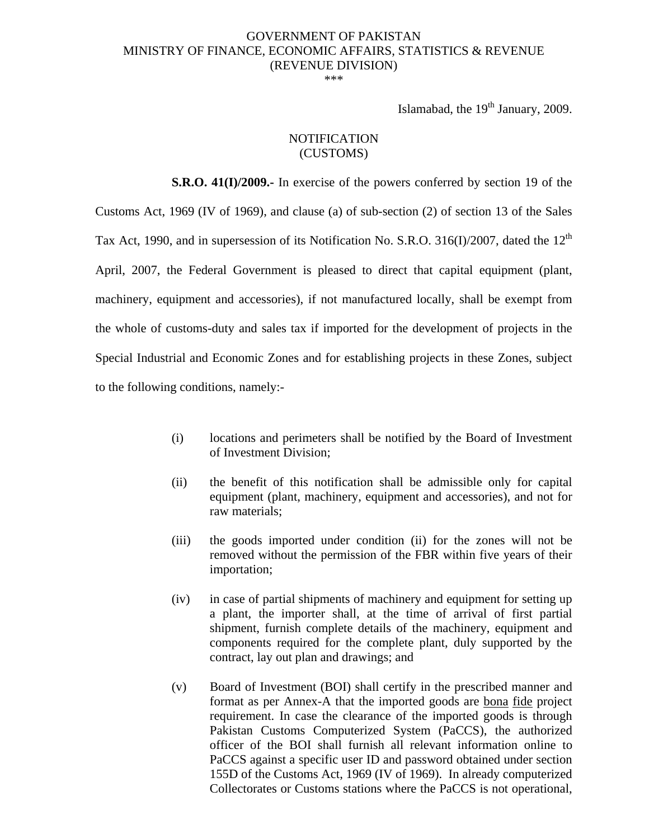# GOVERNMENT OF PAKISTAN MINISTRY OF FINANCE, ECONOMIC AFFAIRS, STATISTICS & REVENUE (REVENUE DIVISION)

\*\*\*

Islamabad, the  $19<sup>th</sup>$  January, 2009.

#### **NOTIFICATION** (CUSTOMS)

 **S.R.O. 41(I)/2009.-** In exercise of the powers conferred by section 19 of the Customs Act, 1969 (IV of 1969), and clause (a) of sub-section (2) of section 13 of the Sales Tax Act, 1990, and in supersession of its Notification No. S.R.O. 316(I)/2007, dated the  $12<sup>th</sup>$ April, 2007, the Federal Government is pleased to direct that capital equipment (plant, machinery, equipment and accessories), if not manufactured locally, shall be exempt from the whole of customs-duty and sales tax if imported for the development of projects in the Special Industrial and Economic Zones and for establishing projects in these Zones, subject to the following conditions, namely:-

- (i) locations and perimeters shall be notified by the Board of Investment of Investment Division;
- (ii) the benefit of this notification shall be admissible only for capital equipment (plant, machinery, equipment and accessories), and not for raw materials;
- (iii) the goods imported under condition (ii) for the zones will not be removed without the permission of the FBR within five years of their importation;
- (iv) in case of partial shipments of machinery and equipment for setting up a plant, the importer shall, at the time of arrival of first partial shipment, furnish complete details of the machinery, equipment and components required for the complete plant, duly supported by the contract, lay out plan and drawings; and
- (v) Board of Investment (BOI) shall certify in the prescribed manner and format as per Annex-A that the imported goods are bona fide project requirement. In case the clearance of the imported goods is through Pakistan Customs Computerized System (PaCCS), the authorized officer of the BOI shall furnish all relevant information online to PaCCS against a specific user ID and password obtained under section 155D of the Customs Act, 1969 (IV of 1969). In already computerized Collectorates or Customs stations where the PaCCS is not operational,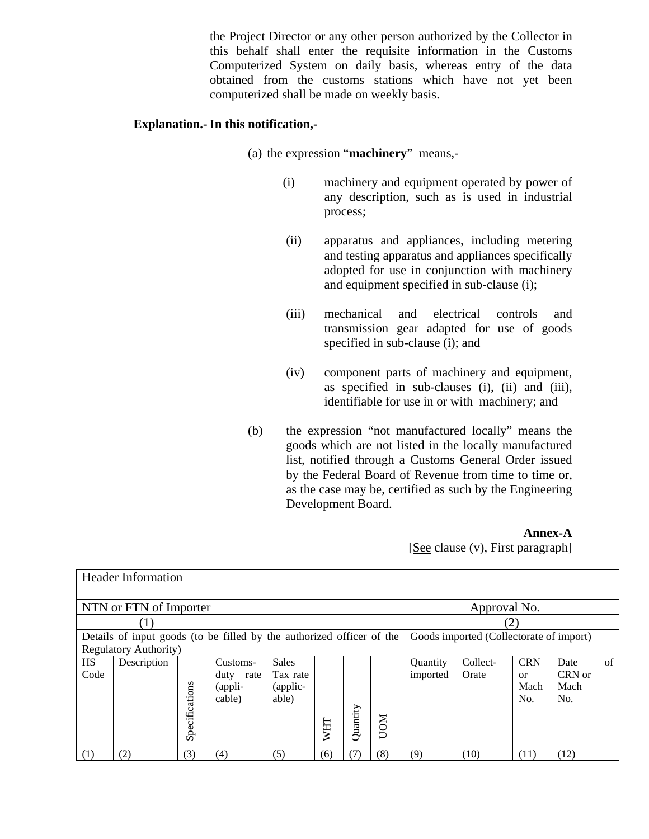the Project Director or any other person authorized by the Collector in this behalf shall enter the requisite information in the Customs Computerized System on daily basis, whereas entry of the data obtained from the customs stations which have not yet been computerized shall be made on weekly basis.

## **Explanation.- In this notification,-**

- (a) the expression "**machinery**" means,-
	- (i) machinery and equipment operated by power of any description, such as is used in industrial process;
	- (ii) apparatus and appliances, including metering and testing apparatus and appliances specifically adopted for use in conjunction with machinery and equipment specified in sub-clause (i);
	- (iii) mechanical and electrical controls and transmission gear adapted for use of goods specified in sub-clause (i); and
	- (iv) component parts of machinery and equipment, as specified in sub-clauses (i), (ii) and (iii), identifiable for use in or with machinery; and
- (b) the expression "not manufactured locally" means the goods which are not listed in the locally manufactured list, notified through a Customs General Order issued by the Federal Board of Revenue from time to time or, as the case may be, certified as such by the Engineering Development Board.

#### **Annex-A**

[See clause (v), First paragraph]

| <b>Header Information</b>                                             |                  |                |              |              |     |          |                                         |          |          |            |        |    |
|-----------------------------------------------------------------------|------------------|----------------|--------------|--------------|-----|----------|-----------------------------------------|----------|----------|------------|--------|----|
|                                                                       |                  |                |              |              |     |          |                                         |          |          |            |        |    |
| NTN or FTN of Importer                                                |                  |                |              | Approval No. |     |          |                                         |          |          |            |        |    |
|                                                                       | $\left(1\right)$ | (2)            |              |              |     |          |                                         |          |          |            |        |    |
| Details of input goods (to be filled by the authorized officer of the |                  |                |              |              |     |          | Goods imported (Collectorate of import) |          |          |            |        |    |
| Regulatory Authority)                                                 |                  |                |              |              |     |          |                                         |          |          |            |        |    |
| <b>HS</b>                                                             | Description      |                | Customs-     | <b>Sales</b> |     |          |                                         | Quantity | Collect- | <b>CRN</b> | Date   | of |
| Code                                                                  |                  |                | duty<br>rate | Tax rate     |     |          |                                         | imported | Orate    | $\alpha$   | CRN or |    |
|                                                                       |                  |                | (appli-      | (applic-     |     |          |                                         |          |          | Mach       | Mach   |    |
|                                                                       |                  |                | cable)       | able)        |     |          |                                         |          |          | No.        | No.    |    |
|                                                                       |                  | Specifications |              |              |     | Quantity |                                         |          |          |            |        |    |
|                                                                       |                  |                |              |              | WHT |          | <b>NOVI</b>                             |          |          |            |        |    |
|                                                                       |                  |                |              |              |     |          |                                         |          |          |            |        |    |
| (1)                                                                   | (2)              | (3)            | (4)          | (5)          | (6) | (7)      | (8)                                     | (9)      | (10)     | (11)       | (12)   |    |